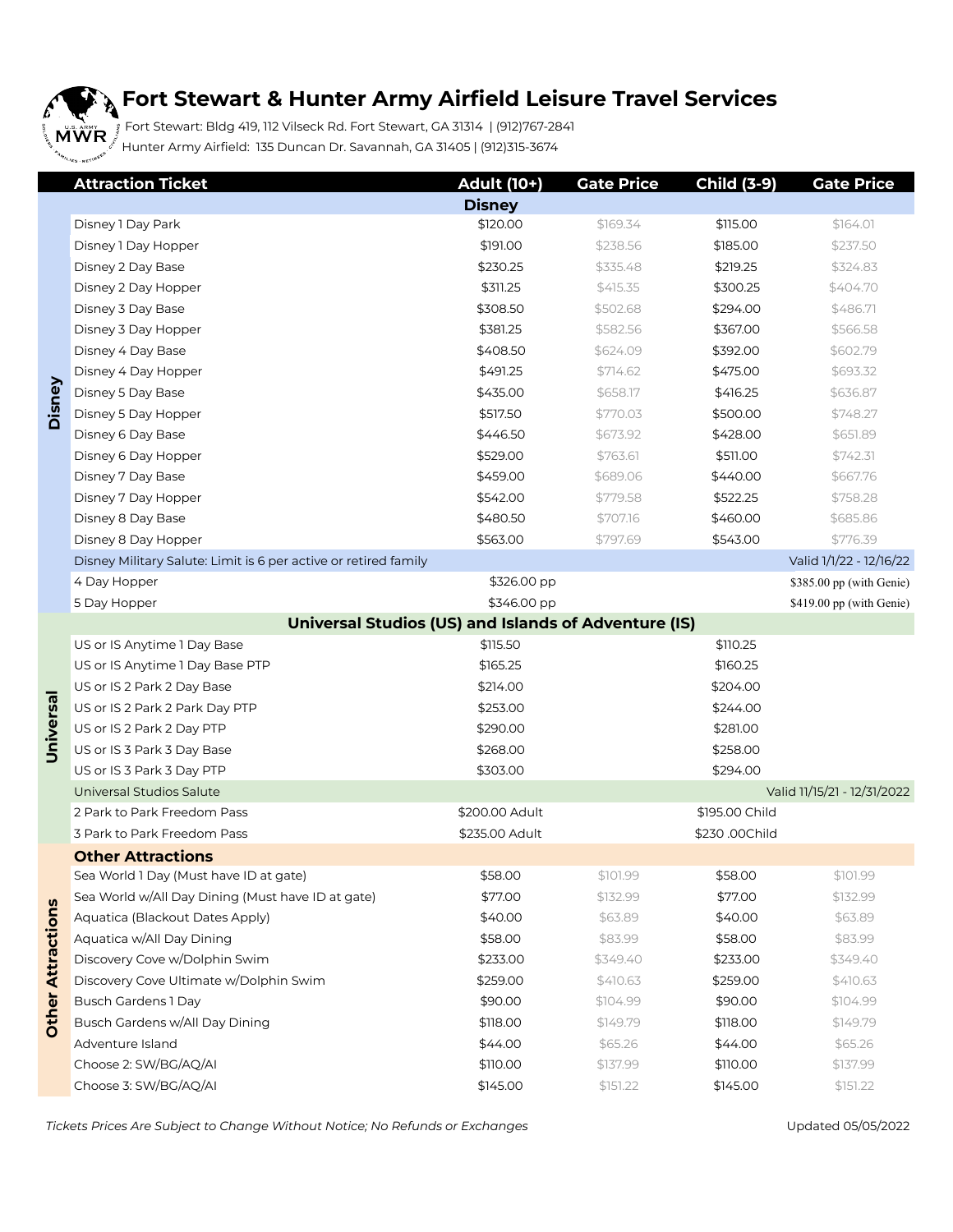### **Fort Stewart & Hunter Army Airfield Leisure Travel Services**

 Fort Stewart: Bldg 419, 112 Vilseck Rd. Fort Stewart, GA 31314 | (912)767-2841  $\mathbb{Z}^{\delta}$  Hunter Army Airfield: 135 Duncan Dr. Savannah, GA 31405 | (912)315-3674

|                          | <b>Attraction Ticket</b>                                        | <b>Adult (10+)</b> | <b>Gate Price</b> | <b>Child (3-9)</b> | <b>Gate Price</b>           |  |  |
|--------------------------|-----------------------------------------------------------------|--------------------|-------------------|--------------------|-----------------------------|--|--|
|                          |                                                                 | <b>Disney</b>      |                   |                    |                             |  |  |
|                          | Disney 1 Day Park                                               | \$120.00           | \$169.34          | \$115.00           | \$164.01                    |  |  |
|                          | Disney 1 Day Hopper                                             | \$191.00           | \$238.56          | \$185.00           | \$237.50                    |  |  |
|                          | Disney 2 Day Base                                               | \$230.25           | \$335.48          | \$219.25           | \$324.83                    |  |  |
|                          | Disney 2 Day Hopper                                             | \$311.25           | \$415.35          | \$300.25           | \$404.70                    |  |  |
|                          | Disney 3 Day Base                                               | \$308.50           | \$502.68          | \$294.00           | \$486.71                    |  |  |
|                          | Disney 3 Day Hopper                                             | \$381.25           | \$582.56          | \$367.00           | \$566.58                    |  |  |
|                          | Disney 4 Day Base                                               | \$408.50           | \$624.09          | \$392.00           | \$602.79                    |  |  |
|                          | Disney 4 Day Hopper                                             | \$491.25           | \$714.62          | \$475.00           | \$693.32                    |  |  |
| Disney                   | Disney 5 Day Base                                               | \$435.00           | \$658.17          | \$416.25           | \$636.87                    |  |  |
|                          | Disney 5 Day Hopper                                             | \$517.50           | \$770.03          | \$500.00           | \$748.27                    |  |  |
|                          | Disney 6 Day Base                                               | \$446.50           | \$673.92          | \$428.00           | \$651.89                    |  |  |
|                          | Disney 6 Day Hopper                                             | \$529.00           | \$763.61          | \$511.00           | \$742.31                    |  |  |
|                          | Disney 7 Day Base                                               | \$459.00           | \$689.06          | \$440.00           | \$667.76                    |  |  |
|                          | Disney 7 Day Hopper                                             | \$542.00           | \$779.58          | \$522.25           | \$758.28                    |  |  |
|                          | Disney 8 Day Base                                               | \$480.50           | \$707.16          | \$460.00           | \$685.86                    |  |  |
|                          | Disney 8 Day Hopper                                             | \$563.00           | \$797.69          | \$543.00           | \$776.39                    |  |  |
|                          | Disney Military Salute: Limit is 6 per active or retired family |                    |                   |                    | Valid 1/1/22 - 12/16/22     |  |  |
|                          | 4 Day Hopper                                                    | \$326.00 pp        |                   |                    | \$385.00 pp (with Genie)    |  |  |
|                          | 5 Day Hopper                                                    | \$346.00 pp        |                   |                    | \$419.00 pp (with Genie)    |  |  |
|                          | Universal Studios (US) and Islands of Adventure (IS)            |                    |                   |                    |                             |  |  |
|                          | US or IS Anytime 1 Day Base                                     | \$115.50           |                   | \$110.25           |                             |  |  |
|                          | US or IS Anytime 1 Day Base PTP                                 | \$165.25           |                   | \$160.25           |                             |  |  |
|                          | US or IS 2 Park 2 Day Base                                      | \$214.00           |                   | \$204.00           |                             |  |  |
|                          | US or IS 2 Park 2 Park Day PTP                                  | \$253.00           |                   | \$244.00           |                             |  |  |
| Universal                | US or IS 2 Park 2 Day PTP                                       | \$290.00           |                   | \$281.00           |                             |  |  |
|                          | US or IS 3 Park 3 Day Base                                      | \$268.00           |                   | \$258.00           |                             |  |  |
|                          | US or IS 3 Park 3 Day PTP                                       | \$303.00           |                   | \$294.00           |                             |  |  |
|                          | Universal Studios Salute                                        |                    |                   |                    | Valid 11/15/21 - 12/31/2022 |  |  |
|                          | 2 Park to Park Freedom Pass                                     | \$200.00 Adult     |                   | \$195.00 Child     |                             |  |  |
|                          | 3 Park to Park Freedom Pass                                     | \$235.00 Adult     |                   | \$230.00Child      |                             |  |  |
|                          | <b>Other Attractions</b>                                        |                    |                   |                    |                             |  |  |
|                          | Sea World 1 Day (Must have ID at gate)                          | \$58.00            | \$101.99          | \$58.00            | \$101.99                    |  |  |
|                          | Sea World w/All Day Dining (Must have ID at gate)               | \$77.00            | \$132.99          | \$77.00            | \$132.99                    |  |  |
|                          | Aquatica (Blackout Dates Apply)                                 | \$40.00            | \$63.89           | \$40.00            | \$63.89                     |  |  |
|                          | Aquatica w/All Day Dining                                       | \$58.00            | \$83.99           | \$58.00            | \$83.99                     |  |  |
|                          | Discovery Cove w/Dolphin Swim                                   | \$233.00           | \$349.40          | \$233.00           | \$349.40                    |  |  |
|                          | Discovery Cove Ultimate w/Dolphin Swim                          | \$259.00           | \$410.63          | \$259.00           | \$410.63                    |  |  |
|                          | Busch Gardens 1 Day                                             | \$90.00            | \$104.99          | \$90.00            | \$104.99                    |  |  |
| <b>Other Attractions</b> | Busch Gardens w/All Day Dining                                  | \$118.00           | \$149.79          | \$118.00           | \$149.79                    |  |  |
|                          | Adventure Island                                                | \$44.00            | \$65.26           | \$44.00            | \$65.26                     |  |  |
|                          | Choose 2: SW/BG/AQ/AI                                           | \$110.00           | \$137.99          | \$110.00           | \$137.99                    |  |  |
|                          | Choose 3: SW/BG/AQ/AI                                           | \$145.00           | \$151.22          | \$145.00           | \$151.22                    |  |  |
|                          |                                                                 |                    |                   |                    |                             |  |  |

 *Tickets Prices Are Subject to Change Without Notice; No Refunds or Exchanges* Updated 05/05/2022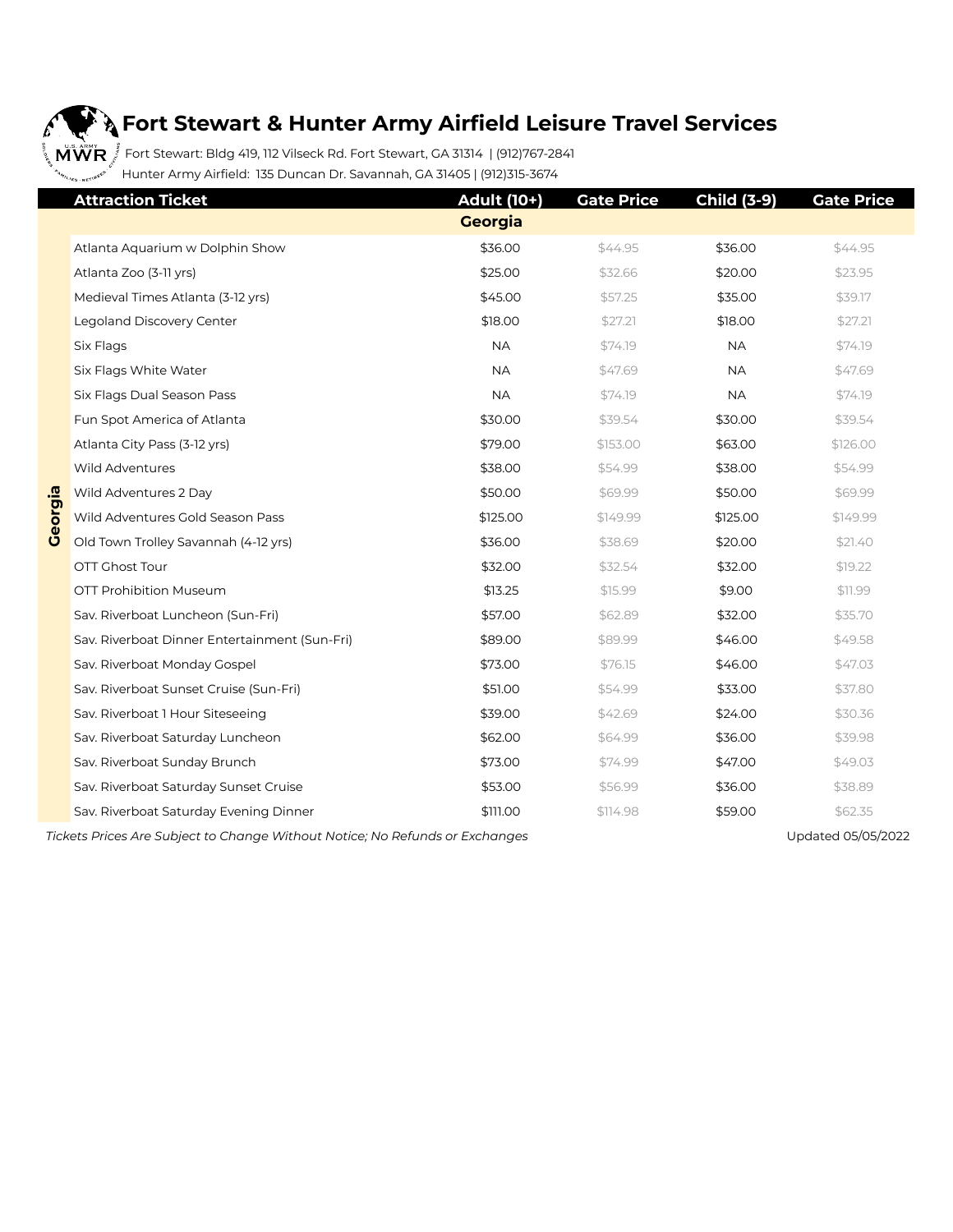# b

#### **Fort Stewart & Hunter Army Airfield Leisure Travel Services**

 $\frac{1}{2}$  **M WR**  $\stackrel{3}{\bar{z}}$  Fort Stewart: Bldg 419, 112 Vilseck Rd. Fort Stewart, GA 31314 | (912)767-2841 Hunter Army Airfield: 135 Duncan Dr. Savannah, GA 31405 | (912)315-3674

|         | <b>Attraction Ticket</b>                                         | <b>Adult (10+)</b> | <b>Gate Price</b> | <b>Child (3-9)</b> | <b>Gate Price</b>      |
|---------|------------------------------------------------------------------|--------------------|-------------------|--------------------|------------------------|
|         |                                                                  | <b>Georgia</b>     |                   |                    |                        |
|         | Atlanta Aquarium w Dolphin Show                                  | \$36.00            | \$44.95           | \$36.00            | \$44.95                |
|         | Atlanta Zoo (3-11 yrs)                                           | \$25.00            | \$32.66           | \$20.00            | \$23.95                |
|         | Medieval Times Atlanta (3-12 yrs)                                | \$45.00            | \$57.25           | \$35.00            | \$39.17                |
|         | Legoland Discovery Center                                        | \$18.00            | \$27.21           | \$18.00            | \$27.21                |
|         | Six Flags                                                        | <b>NA</b>          | \$74.19           | <b>NA</b>          | \$74.19                |
|         | Six Flags White Water                                            | <b>NA</b>          | \$47.69           | <b>NA</b>          | \$47.69                |
|         | Six Flags Dual Season Pass                                       | <b>NA</b>          | \$74.19           | <b>NA</b>          | \$74.19                |
|         | Fun Spot America of Atlanta                                      | \$30.00            | \$39.54           | \$30.00            | \$39.54                |
|         | Atlanta City Pass (3-12 yrs)                                     | \$79.00            | \$153.00          | \$63.00            | \$126.00               |
|         | Wild Adventures                                                  | \$38.00            | \$54.99           | \$38.00            | \$54.99                |
|         | Wild Adventures 2 Day                                            | \$50.00            | \$69.99           | \$50.00            | \$69.99                |
| Georgia | Wild Adventures Gold Season Pass                                 | \$125.00           | \$149.99          | \$125.00           | \$149.99               |
|         | Old Town Trolley Savannah (4-12 yrs)                             | \$36.00            | \$38.69           | \$20.00            | \$21.40                |
|         | OTT Ghost Tour                                                   | \$32.00            | \$32.54           | \$32.00            | \$19.22                |
|         | <b>OTT Prohibition Museum</b>                                    | \$13.25            | \$15.99           | \$9.00             | \$11.99                |
|         | Sav. Riverboat Luncheon (Sun-Fri)                                | \$57.00            | \$62.89           | \$32.00            | \$35.70                |
|         | Sav. Riverboat Dinner Entertainment (Sun-Fri)                    | \$89.00            | \$89.99           | \$46.00            | \$49.58                |
|         | Sav. Riverboat Monday Gospel                                     | \$73.00            | \$76.15           | \$46.00            | \$47.03                |
|         | Sav. Riverboat Sunset Cruise (Sun-Fri)                           | \$51.00            | \$54.99           | \$33.00            | \$37.80                |
|         | Sav. Riverboat 1 Hour Siteseeing                                 | \$39.00            | \$42.69           | \$24.00            | \$30.36                |
|         | Sav. Riverboat Saturday Luncheon                                 | \$62.00            | \$64.99           | \$36.00            | \$39.98                |
|         | Sav. Riverboat Sunday Brunch                                     | \$73.00            | \$74.99           | \$47.00            | \$49.03                |
|         | Sav. Riverboat Saturday Sunset Cruise                            | \$53.00            | \$56.99           | \$36.00            | \$38.89                |
|         | Sav. Riverboat Saturday Evening Dinner                           | \$111.00           | \$114.98          | \$59.00            | \$62.35                |
|         | Tiolette Drippe Are Cubinet to Chappe Without Notice: No Defunde |                    |                   |                    | $H = 4 + 4$ OF OF DOOD |

 *Tickets Prices Are Subject to Change Without Notice; No Refunds or Exchanges* Updated 05/05/2022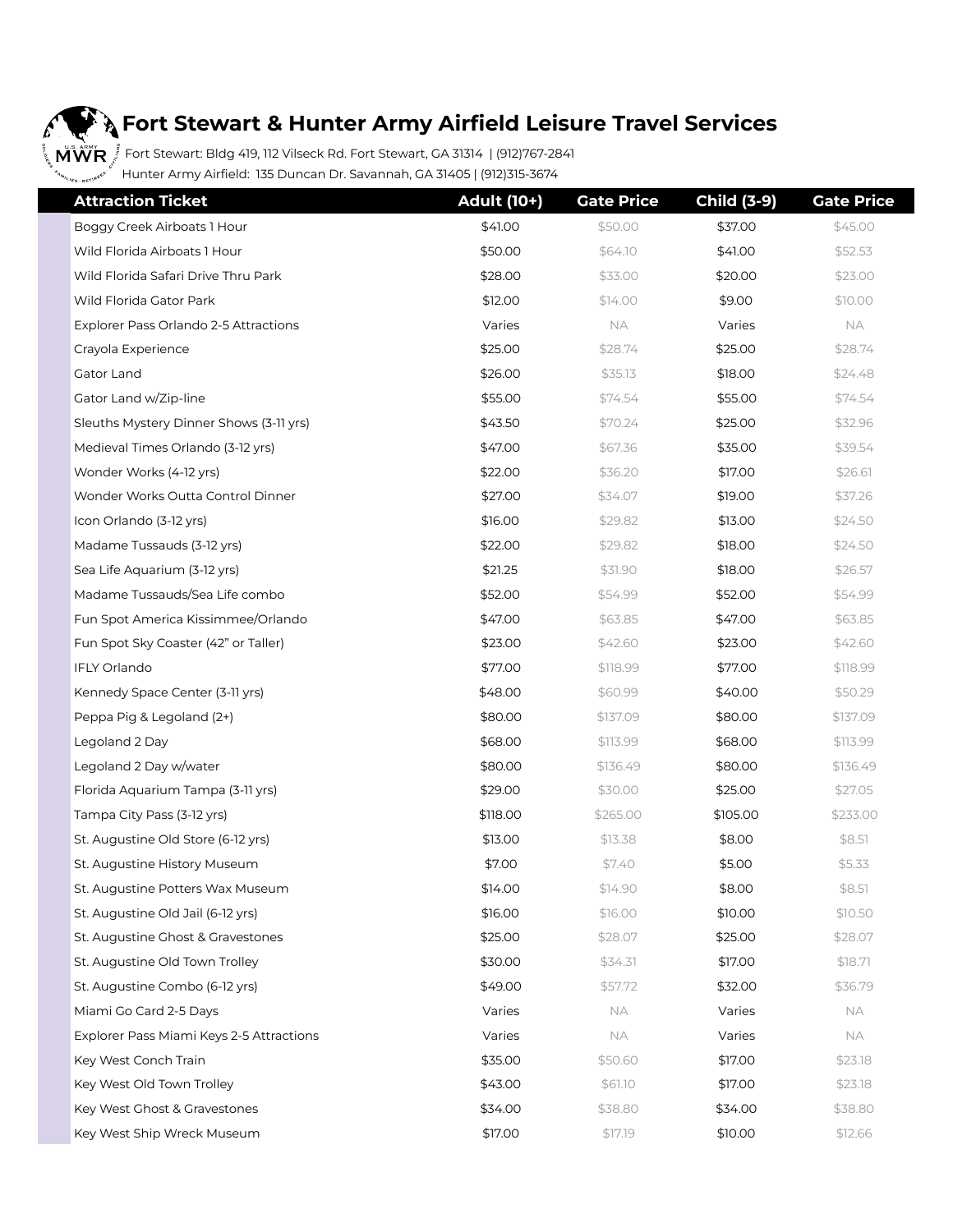## $\boldsymbol{\hat{f}}$

#### **A** Fort Stewart & Hunter Army Airfield Leisure Travel Services

 $\frac{1}{2}$  M $\mathring{\text{WWR}}$  ,  $\overset{\ast}{\mathring{S}}$  Fort Stewart: Bldg 419, 112 Vilseck Rd. Fort Stewart, GA 31314 | (912)767-2841 <sub>"ss.nsti<sup>nes" (</sup>Hunter Army Airfield: 135 Duncan Dr. Savannah, GA 31405 | (912)315-3674</sub>

| <b>Attraction Ticket</b>                 | <b>Adult (10+)</b> | <b>Gate Price</b> | <b>Child (3-9)</b> | <b>Gate Price</b> |
|------------------------------------------|--------------------|-------------------|--------------------|-------------------|
| Boggy Creek Airboats 1 Hour              | \$41.00            | \$50.00           | \$37.00            | \$45.00           |
| Wild Florida Airboats 1 Hour             | \$50.00            | \$64.10           | \$41.00            | \$52.53           |
| Wild Florida Safari Drive Thru Park      | \$28.00            | \$33.00           | \$20.00            | \$23.00           |
| Wild Florida Gator Park                  | \$12.00            | \$14.00           | \$9.00             | \$10.00           |
| Explorer Pass Orlando 2-5 Attractions    | Varies             | <b>NA</b>         | Varies             | NA                |
| Crayola Experience                       | \$25.00            | \$28.74           | \$25.00            | \$28.74           |
| Gator Land                               | \$26.00            | \$35.13           | \$18.00            | \$24.48           |
| Gator Land w/Zip-line                    | \$55.00            | \$74.54           | \$55.00            | \$74.54           |
| Sleuths Mystery Dinner Shows (3-11 yrs)  | \$43.50            | \$70.24           | \$25.00            | \$32.96           |
| Medieval Times Orlando (3-12 yrs)        | \$47.00            | \$67.36           | \$35.00            | \$39.54           |
| Wonder Works (4-12 yrs)                  | \$22.00            | \$36.20           | \$17.00            | \$26.61           |
| Wonder Works Outta Control Dinner        | \$27.00            | \$34.07           | \$19.00            | \$37.26           |
| Icon Orlando (3-12 yrs)                  | \$16.00            | \$29.82           | \$13.00            | \$24.50           |
| Madame Tussauds (3-12 yrs)               | \$22.00            | \$29.82           | \$18.00            | \$24.50           |
| Sea Life Aquarium (3-12 yrs)             | \$21.25            | \$31.90           | \$18.00            | \$26.57           |
| Madame Tussauds/Sea Life combo           | \$52.00            | \$54.99           | \$52.00            | \$54.99           |
| Fun Spot America Kissimmee/Orlando       | \$47.00            | \$63.85           | \$47.00            | \$63.85           |
| Fun Spot Sky Coaster (42" or Taller)     | \$23.00            | \$42.60           | \$23.00            | \$42.60           |
| IFLY Orlando                             | \$77.00            | \$118.99          | \$77.00            | \$118.99          |
| Kennedy Space Center (3-11 yrs)          | \$48.00            | \$60.99           | \$40.00            | \$50.29           |
| Peppa Pig & Legoland (2+)                | \$80.00            | \$137.09          | \$80.00            | \$137.09          |
| Legoland 2 Day                           | \$68.00            | \$113.99          | \$68.00            | \$113.99          |
| Legoland 2 Day w/water                   | \$80.00            | \$136.49          | \$80.00            | \$136.49          |
| Florida Aquarium Tampa (3-11 yrs)        | \$29.00            | \$30.00           | \$25.00            | \$27.05           |
| Tampa City Pass (3-12 yrs)               | \$118.00           | \$265.00          | \$105.00           | \$233.00          |
| St. Augustine Old Store (6-12 yrs)       | \$13.00            | \$13.38           | \$8.00             | \$8.51            |
| St. Augustine History Museum             | \$7.00             | \$7.40            | \$5.00             | \$5.33            |
| St. Augustine Potters Wax Museum         | \$14.00            | \$14.90           | \$8.00             | \$8.5]            |
| St. Augustine Old Jail (6-12 yrs)        | \$16.00            | \$16.00           | \$10.00            | \$10.50           |
| St. Augustine Ghost & Gravestones        | \$25.00            | \$28.07           | \$25.00            | \$28.07           |
| St. Augustine Old Town Trolley           | \$30.00            | \$34.31           | \$17.00            | \$18.71           |
| St. Augustine Combo (6-12 yrs)           | \$49.00            | \$57.72           | \$32.00            | \$36.79           |
| Miami Go Card 2-5 Days                   | Varies             | <b>NA</b>         | Varies             | NA.               |
| Explorer Pass Miami Keys 2-5 Attractions | Varies             | NА                | Varies             | NA.               |
| Key West Conch Train                     | \$35.00            | \$50.60           | \$17.00            | \$23.18           |
| Key West Old Town Trolley                | \$43.00            | \$61.10           | \$17.00            | \$23.18           |
| Key West Ghost & Gravestones             | \$34.00            | \$38.80           | \$34.00            | \$38.80           |
| Key West Ship Wreck Museum               | \$17.00            | \$17.19           | \$10.00            | \$12.66           |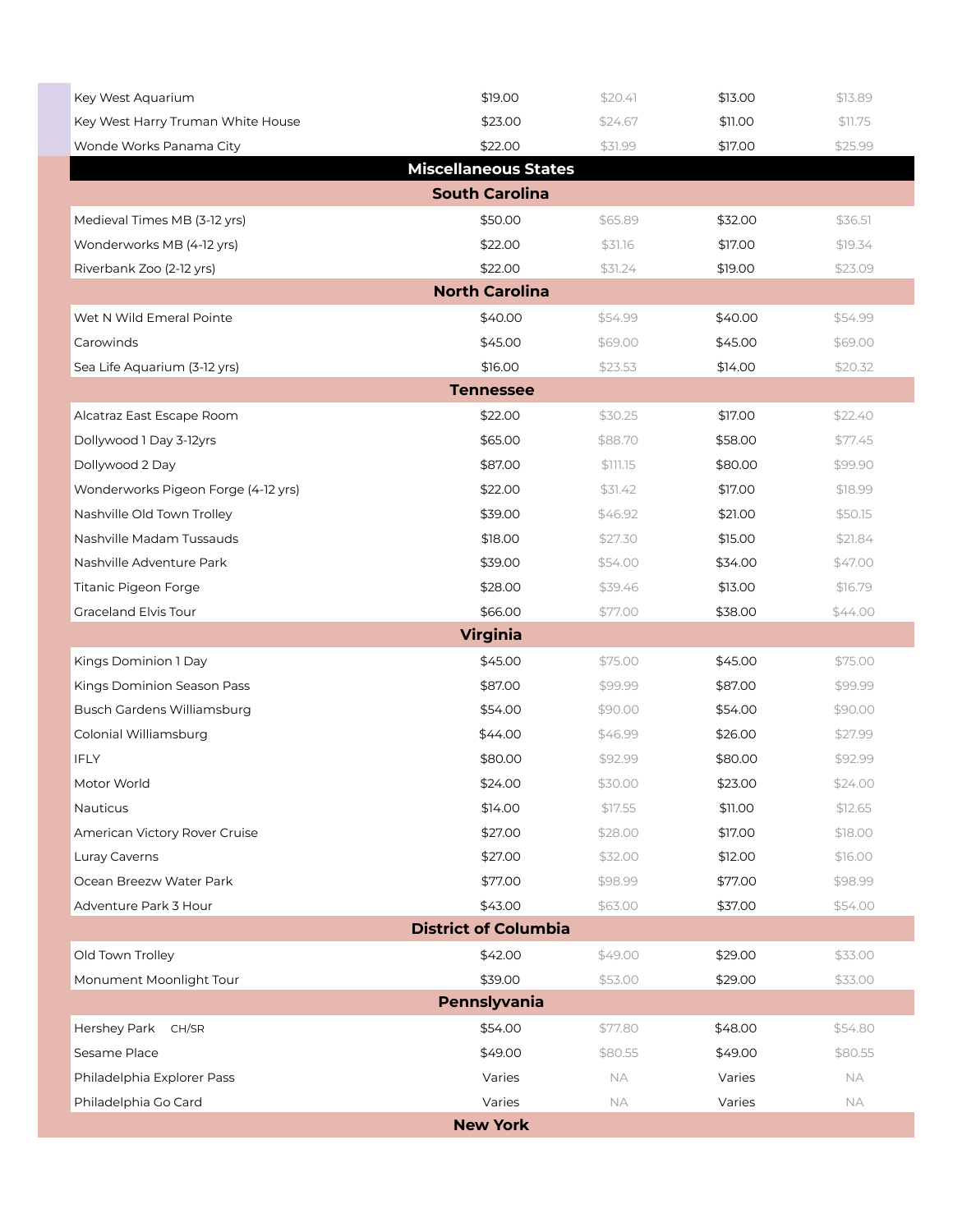| Key West Aquarium                   | \$19.00                     | \$20.4]   | \$13.00 | \$13.89 |  |  |  |
|-------------------------------------|-----------------------------|-----------|---------|---------|--|--|--|
| Key West Harry Truman White House   | \$23.00                     | \$24.67   | \$11.00 | \$11.75 |  |  |  |
| Wonde Works Panama City             | \$22.00                     | \$31.99   | \$17.00 | \$25.99 |  |  |  |
|                                     | <b>Miscellaneous States</b> |           |         |         |  |  |  |
|                                     | <b>South Carolina</b>       |           |         |         |  |  |  |
| Medieval Times MB (3-12 yrs)        | \$50.00                     | \$65.89   | \$32.00 | \$36.51 |  |  |  |
| Wonderworks MB (4-12 yrs)           | \$22.00                     | \$31.16   | \$17.00 | \$19.34 |  |  |  |
| Riverbank Zoo (2-12 yrs)            | \$22.00                     | \$31.24   | \$19.00 | \$23.09 |  |  |  |
|                                     | <b>North Carolina</b>       |           |         |         |  |  |  |
| Wet N Wild Emeral Pointe            | \$40.00                     | \$54.99   | \$40.00 | \$54.99 |  |  |  |
| Carowinds                           | \$45.00                     | \$69.00   | \$45.00 | \$69.00 |  |  |  |
| Sea Life Aquarium (3-12 yrs)        | \$16.00                     | \$23.53   | \$14.00 | \$20.32 |  |  |  |
|                                     | <b>Tennessee</b>            |           |         |         |  |  |  |
| Alcatraz East Escape Room           | \$22.00                     | \$30.25   | \$17.00 | \$22.40 |  |  |  |
| Dollywood 1 Day 3-12yrs             | \$65.00                     | \$88.70   | \$58.00 | \$77.45 |  |  |  |
| Dollywood 2 Day                     | \$87.00                     | \$111.15  | \$80.00 | \$99.90 |  |  |  |
| Wonderworks Pigeon Forge (4-12 yrs) | \$22.00                     | \$31.42   | \$17.00 | \$18.99 |  |  |  |
| Nashville Old Town Trolley          | \$39.00                     | \$46.92   | \$21.00 | \$50.15 |  |  |  |
| Nashville Madam Tussauds            | \$18.00                     | \$27.30   | \$15.00 | \$21.84 |  |  |  |
| Nashville Adventure Park            | \$39.00                     | \$54.00   | \$34.00 | \$47.00 |  |  |  |
| Titanic Pigeon Forge                | \$28.00                     | \$39.46   | \$13.00 | \$16.79 |  |  |  |
| Graceland Elvis Tour                | \$66.00                     | \$77.00   | \$38.00 | \$44.00 |  |  |  |
|                                     | <b>Virginia</b>             |           |         |         |  |  |  |
| Kings Dominion 1 Day                | \$45.00                     | \$75.00   | \$45.00 | \$75.00 |  |  |  |
| Kings Dominion Season Pass          | \$87.00                     | \$99.99   | \$87.00 | \$99.99 |  |  |  |
| <b>Busch Gardens Williamsburg</b>   | \$54.00                     | \$90.00   | \$54.00 | \$90.00 |  |  |  |
| Colonial Williamsburg               | \$44.00                     | \$46.99   | \$26.00 | \$27.99 |  |  |  |
| <b>IFLY</b>                         | \$80.00                     | \$92.99   | \$80.00 | \$92.99 |  |  |  |
| Motor World                         | \$24.00                     | \$30.00   | \$23.00 | \$24.00 |  |  |  |
| Nauticus                            | \$14.00                     | \$17.55   | \$11.00 | \$12.65 |  |  |  |
| American Victory Rover Cruise       | \$27.00                     | \$28.00   | \$17.00 | \$18.00 |  |  |  |
| Luray Caverns                       | \$27.00                     | \$32.00   | \$12.00 | \$16.00 |  |  |  |
| Ocean Breezw Water Park             | \$77.00                     | \$98.99   | \$77.00 | \$98.99 |  |  |  |
| Adventure Park 3 Hour               | \$43.00                     | \$63.00   | \$37.00 | \$54.00 |  |  |  |
| <b>District of Columbia</b>         |                             |           |         |         |  |  |  |
| Old Town Trolley                    | \$42.00                     | \$49.00   | \$29.00 | \$33.00 |  |  |  |
| Monument Moonlight Tour             | \$39.00                     | \$53.00   | \$29.00 | \$33.00 |  |  |  |
|                                     | Pennslyvania                |           |         |         |  |  |  |
| Hershey Park<br>CH/SR               | \$54.00                     | \$77.80   | \$48.00 | \$54.80 |  |  |  |
| Sesame Place                        | \$49.00                     | \$80.55   | \$49.00 | \$80.55 |  |  |  |
| Philadelphia Explorer Pass          | Varies                      | <b>NA</b> | Varies  | NA      |  |  |  |
| Philadelphia Go Card                | Varies                      | <b>NA</b> | Varies  | NA      |  |  |  |
|                                     | <b>New York</b>             |           |         |         |  |  |  |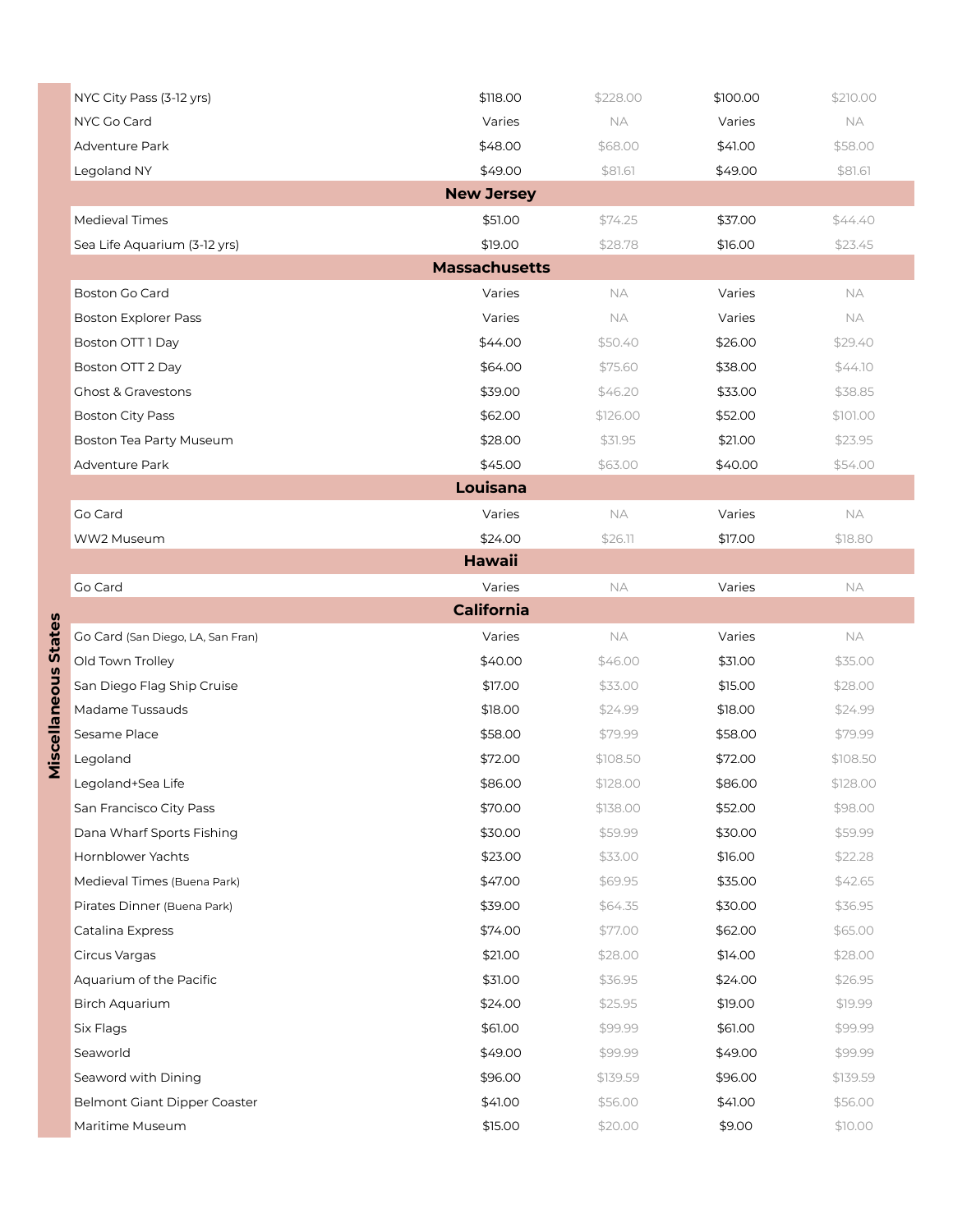|                             | NYC City Pass (3-12 yrs)          | \$118.00 | \$228.00  | \$100.00 | \$210.00  |  |  |  |  |
|-----------------------------|-----------------------------------|----------|-----------|----------|-----------|--|--|--|--|
|                             | NYC Go Card                       | Varies   | <b>NA</b> | Varies   | <b>NA</b> |  |  |  |  |
|                             | Adventure Park                    | \$48.00  | \$68.00   | \$41.00  | \$58.00   |  |  |  |  |
|                             | Legoland NY                       | \$49.00  | \$81.61   | \$49.00  | \$81.61   |  |  |  |  |
|                             | <b>New Jersey</b>                 |          |           |          |           |  |  |  |  |
|                             | Medieval Times                    | \$51.00  | \$74.25   | \$37.00  | \$44.40   |  |  |  |  |
|                             | Sea Life Aquarium (3-12 yrs)      | \$19.00  | \$28.78   | \$16.00  | \$23.45   |  |  |  |  |
|                             | <b>Massachusetts</b>              |          |           |          |           |  |  |  |  |
|                             | <b>Boston Go Card</b>             | Varies   | <b>NA</b> | Varies   | NA        |  |  |  |  |
|                             | <b>Boston Explorer Pass</b>       | Varies   | <b>NA</b> | Varies   | <b>NA</b> |  |  |  |  |
|                             | Boston OTT 1 Day                  | \$44.00  | \$50.40   | \$26.00  | \$29.40   |  |  |  |  |
|                             | Boston OTT 2 Day                  | \$64.00  | \$75.60   | \$38.00  | \$44.10   |  |  |  |  |
|                             | <b>Ghost &amp; Gravestons</b>     | \$39.00  | \$46.20   | \$33.00  | \$38.85   |  |  |  |  |
|                             | <b>Boston City Pass</b>           | \$62.00  | \$126.00  | \$52.00  | \$101.00  |  |  |  |  |
|                             | Boston Tea Party Museum           | \$28.00  | \$31.95   | \$21.00  | \$23.95   |  |  |  |  |
|                             | Adventure Park                    | \$45.00  | \$63.00   | \$40.00  | \$54.00   |  |  |  |  |
|                             | Louisana                          |          |           |          |           |  |  |  |  |
|                             | Go Card                           | Varies   | NA        | Varies   | NA        |  |  |  |  |
|                             | WW2 Museum                        | \$24.00  | \$26.11   | \$17.00  | \$18.80   |  |  |  |  |
|                             | <b>Hawaii</b>                     |          |           |          |           |  |  |  |  |
|                             | Go Card                           | Varies   | NA        | Varies   | <b>NA</b> |  |  |  |  |
|                             | <b>California</b>                 |          |           |          |           |  |  |  |  |
| <b>Miscellaneous States</b> | Go Card (San Diego, LA, San Fran) | Varies   | NA        | Varies   | <b>NA</b> |  |  |  |  |
|                             | Old Town Trolley                  | \$40.00  | \$46.00   | \$31.00  | \$35.00   |  |  |  |  |
|                             | San Diego Flag Ship Cruise        | \$17.00  | \$33.00   | \$15.00  | \$28.00   |  |  |  |  |
|                             | Madame Tussauds                   | \$18.00  | \$24.99   | \$18.00  | \$24.99   |  |  |  |  |
|                             | Sesame Place                      | \$58.00  | \$79.99   | \$58.00  | \$79.99   |  |  |  |  |
|                             | Legoland                          | \$72.00  | \$108.50  | \$72.00  | \$108.50  |  |  |  |  |
|                             | Legoland+Sea Life                 | \$86.00  | \$128.00  | \$86.00  | \$128.00  |  |  |  |  |
|                             | San Francisco City Pass           | \$70.00  | \$138.00  | \$52.00  | \$98.00   |  |  |  |  |
|                             | Dana Wharf Sports Fishing         | \$30.00  | \$59.99   | \$30.00  | \$59.99   |  |  |  |  |
|                             | Hornblower Yachts                 | \$23.00  | \$33.00   | \$16.00  | \$22.28   |  |  |  |  |
|                             | Medieval Times (Buena Park)       | \$47.00  | \$69.95   | \$35.00  | \$42.65   |  |  |  |  |
|                             | Pirates Dinner (Buena Park)       | \$39.00  | \$64.35   | \$30.00  | \$36.95   |  |  |  |  |
|                             | Catalina Express                  | \$74.00  | \$77.00   | \$62.00  | \$65.00   |  |  |  |  |
|                             | Circus Vargas                     | \$21.00  | \$28.00   | \$14.00  | \$28.00   |  |  |  |  |
|                             | Aquarium of the Pacific           | \$31.00  | \$36.95   | \$24.00  | \$26.95   |  |  |  |  |
|                             | Birch Aquarium                    | \$24.00  | \$25.95   | \$19.00  | \$19.99   |  |  |  |  |
|                             | Six Flags                         | \$61.00  | \$99.99   | \$61.00  | \$99.99   |  |  |  |  |
|                             | Seaworld                          | \$49.00  | \$99.99   | \$49.00  | \$99.99   |  |  |  |  |
|                             | Seaword with Dining               | \$96.00  | \$139.59  | \$96.00  | \$139.59  |  |  |  |  |
|                             | Belmont Giant Dipper Coaster      | \$41.00  | \$56.00   | \$41.00  | \$56.00   |  |  |  |  |
|                             | Maritime Museum                   | \$15.00  | \$20.00   | \$9.00   | \$10.00   |  |  |  |  |

Miscellaneous States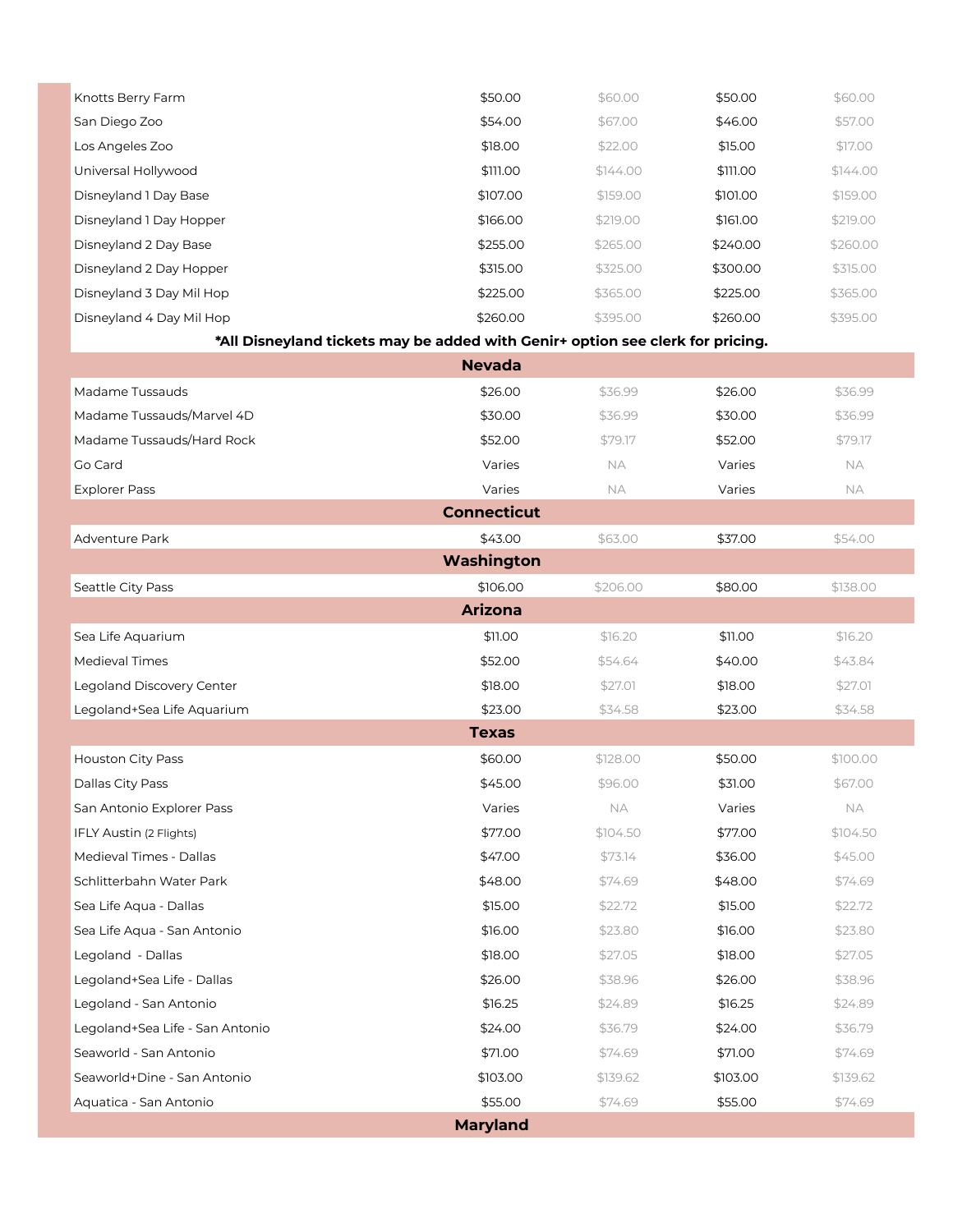| Knotts Berry Farm                                                              | \$50.00            | \$60.00  | \$50.00  | \$60.00  |
|--------------------------------------------------------------------------------|--------------------|----------|----------|----------|
| San Diego Zoo                                                                  | \$54.00            | \$67.00  | \$46.00  | \$57.00  |
| Los Angeles Zoo                                                                | \$18.00            | \$22.00  | \$15.00  | \$17.00  |
| Universal Hollywood                                                            | \$111.00           | \$144.00 | \$111.00 | \$144.00 |
| Disneyland 1 Day Base                                                          | \$107.00           | \$159.00 | \$101.00 | \$159.00 |
| Disneyland 1 Day Hopper                                                        | \$166.00           | \$219.00 | \$161.00 | \$219.00 |
| Disneyland 2 Day Base                                                          | \$255.00           | \$265.00 | \$240.00 | \$260.00 |
| Disneyland 2 Day Hopper                                                        | \$315.00           | \$325.00 | \$300.00 | \$315.00 |
| Disneyland 3 Day Mil Hop                                                       | \$225.00           | \$365.00 | \$225.00 | \$365.00 |
| Disneyland 4 Day Mil Hop                                                       | \$260.00           | \$395.00 | \$260.00 | \$395.00 |
| *All Disneyland tickets may be added with Genir+ option see clerk for pricing. |                    |          |          |          |
|                                                                                | <b>Nevada</b>      |          |          |          |
| Madame Tussauds                                                                | \$26.00            | \$36.99  | \$26.00  | \$36.99  |
| Madame Tussauds/Marvel 4D                                                      | \$30.00            | \$36.99  | \$30.00  | \$36.99  |
| Madame Tussauds/Hard Rock                                                      | \$52.00            | \$79.17  | \$52.00  | \$79.17  |
| Go Card                                                                        | Varies             | NA.      | Varies   | NА       |
| <b>Explorer Pass</b>                                                           | Varies             | NA.      | Varies   | NА       |
|                                                                                | <b>Connecticut</b> |          |          |          |
| Adventure Park                                                                 | \$43.00            | \$63.00  | \$37.00  | \$54.00  |
|                                                                                | Washington         |          |          |          |
| Seattle City Pass                                                              | \$106.00           | \$206.00 | \$80.00  | \$138.00 |
|                                                                                | <b>Arizona</b>     |          |          |          |
| Sea Life Aquarium                                                              | \$11.00            | \$16.20  | \$11.00  | \$16.20  |
| Medieval Times                                                                 | \$52.00            | \$54.64  | \$40.00  | \$43.84  |
| Legoland Discovery Center                                                      | \$18.00            | \$27.01  | \$18.00  | \$27.01  |
| Legoland+Sea Life Aquarium                                                     | \$23.00            | \$34.58  | \$23.00  | \$34.58  |
|                                                                                | <b>Texas</b>       |          |          |          |
| Houston City Pass                                                              | \$60.00            | \$128.00 | \$50.00  | \$100.00 |
| Dallas City Pass                                                               | \$45.00            | \$96.00  | \$31.00  | \$67.00  |
| San Antonio Explorer Pass                                                      | Varies             | NА       | Varies   | NА       |
| IFLY Austin (2 Flights)                                                        | \$77.00            | \$104.50 | \$77.00  | \$104.50 |
| Medieval Times - Dallas                                                        | \$47.00            | \$73.14  | \$36.00  | \$45.00  |
| Schlitterbahn Water Park                                                       | \$48.00            | \$74.69  | \$48.00  | \$74.69  |
| Sea Life Aqua - Dallas                                                         | \$15.00            | \$22.72  | \$15.00  | \$22.72  |
| Sea Life Aqua - San Antonio                                                    | \$16.00            | \$23.80  | \$16.00  | \$23.80  |
| Legoland - Dallas                                                              | \$18.00            | \$27.05  | \$18.00  | \$27.05  |
| Legoland+Sea Life - Dallas                                                     | \$26.00            | \$38.96  | \$26.00  | \$38.96  |
| Legoland - San Antonio                                                         | \$16.25            | \$24.89  | \$16.25  | \$24.89  |
| Legoland+Sea Life - San Antonio                                                | \$24.00            | \$36.79  | \$24.00  | \$36.79  |
| Seaworld - San Antonio                                                         | \$71.00            | \$74.69  | \$71.00  | \$74.69  |
| Seaworld+Dine - San Antonio                                                    | \$103.00           | \$139.62 | \$103.00 | \$139.62 |
| Aquatica - San Antonio                                                         | \$55.00            | \$74.69  | \$55.00  | \$74.69  |
|                                                                                | <b>Maryland</b>    |          |          |          |